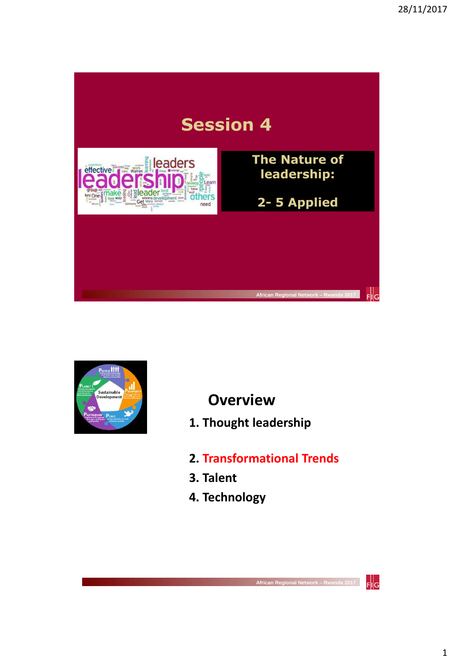



**Overview**

- **1. Thought leadership**
- **2. Transformational Trends**
- **3. Talent**
- **4. Technology**

 $F\|G$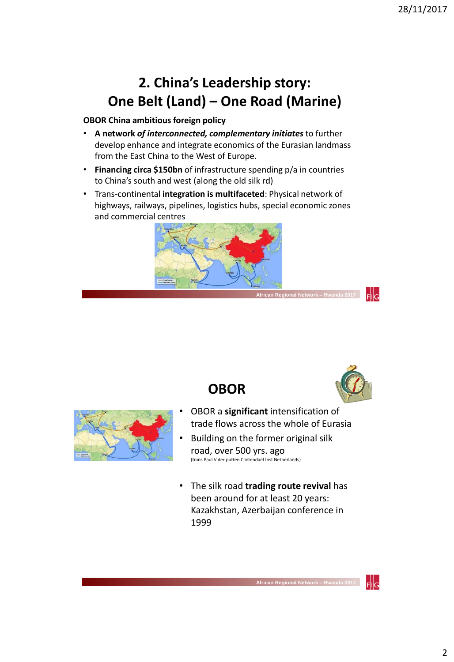## **2. China's Leadership story: One Belt (Land) – One Road (Marine)**

#### **OBOR China ambitious foreign policy**

- **A network** *of interconnected, complementary initiates* to further develop enhance and integrate economics of the Eurasian landmass from the East China to the West of Europe.
- **Financing circa \$150bn** of infrastructure spending p/a in countries to China's south and west (along the old silk rd)
- Trans-continental **integration is multifaceted**: Physical network of highways, railways, pipelines, logistics hubs, special economic zones and commercial centres



**OBOR**



:lla



- OBOR a **significant** intensification of trade flows across the whole of Eurasia
- Building on the former original silk road, over 500 yrs. ago (frans Paul V der putten Clintendael Inst Netherlands)
- The silk road **trading route revival** has been around for at least 20 years: Kazakhstan, Azerbaijan conference in 1999

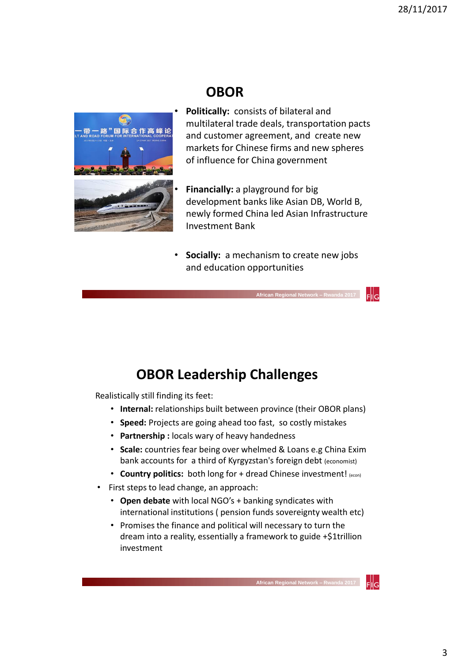### **OBOR**



- **Politically:** consists of bilateral and multilateral trade deals, transportation pacts and customer agreement, and create new markets for Chinese firms and new spheres of influence for China government
- **Financially:** a playground for big development banks like Asian DB, World B, newly formed China led Asian Infrastructure Investment Bank
- **Socially:** a mechanism to create new jobs and education opportunities

 **African Regional Network – Rwa** 

### **OBOR Leadership Challenges**

Realistically still finding its feet:

- **Internal:** relationships built between province (their OBOR plans)
- **Speed:** Projects are going ahead too fast, so costly mistakes
- **Partnership :** locals wary of heavy handedness
- **Scale:** countries fear being over whelmed & Loans e.g China Exim bank accounts for a third of Kyrgyzstan's foreign debt (economist)
- **Country politics:** both long for + dread Chinese investment! (econ)
- First steps to lead change, an approach:
	- **Open debate** with local NGO's + banking syndicates with international institutions ( pension funds sovereignty wealth etc)
	- Promises the finance and political will necessary to turn the dream into a reality, essentially a framework to guide +\$1trillion investment

3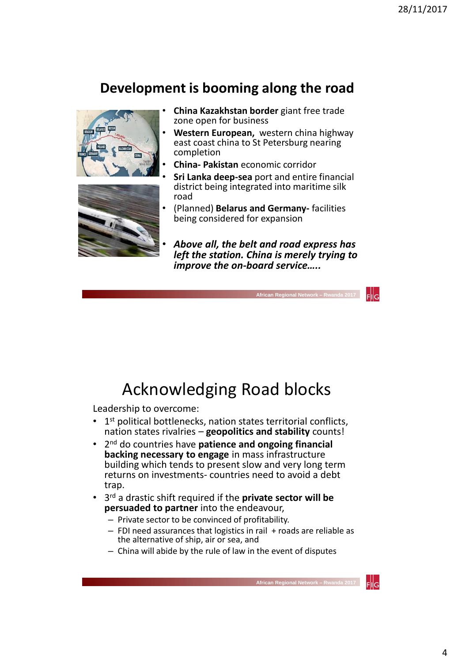### **Development is booming along the road**





- **China Kazakhstan border** giant free trade zone open for business
- **Western European,** western china highway east coast china to St Petersburg nearing completion
- **China- Pakistan** economic corridor
- **Sri Lanka deep-sea** port and entire financial district being integrated into maritime silk road
- (Planned) **Belarus and Germany-** facilities being considered for expansion
- *Above all, the belt and road express has left the station. China is merely trying to improve the on-board service…..*

 **African Regional Network – Rwanda 2017** 

Acknowledging Road blocks

Leadership to overcome:

- $\bullet$  $1<sup>st</sup>$  political bottlenecks, nation states territorial conflicts, nation states rivalries – **geopolitics and stability** counts!
- 2 nd do countries have **patience and ongoing financial backing necessary to engage** in mass infrastructure building which tends to present slow and very long term returns on investments- countries need to avoid a debt trap.
- 3 rd a drastic shift required if the **private sector will be persuaded to partner** into the endeavour,
	- Private sector to be convinced of profitability.
	- $-$  FDI need assurances that logistics in rail  $+$  roads are reliable as the alternative of ship, air or sea, and
	- China will abide by the rule of law in the event of disputes



FIIG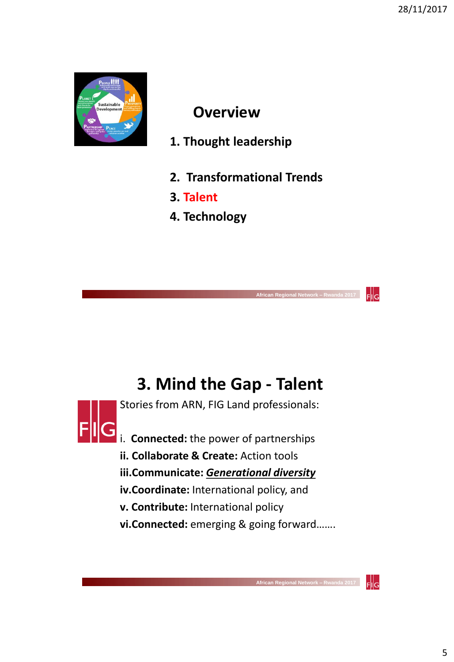

### **Overview**

- **1. Thought leadership**
- **2. Transformational Trends**
- **3. Talent**
- **4. Technology**

# **3. Mind the Gap - Talent**

Stories from ARN, FIG Land professionals:



i. **Connected:** the power of partnerships

- **ii. Collaborate & Create:** Action tools
- **iii.Communicate:** *Generational diversity*
- **iv.Coordinate:** International policy, and
- **v. Contribute:** International policy
- **vi.Connected:** emerging & going forward…….

 **African Regional Network – Rwanda 2017** 

Flig

Flilg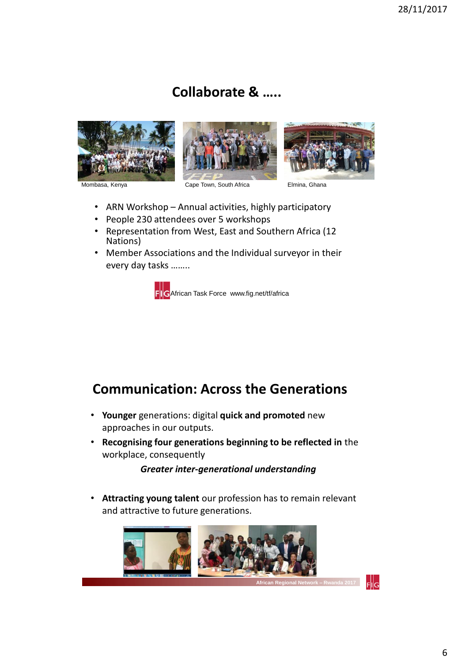### **Collaborate & …..**







Mombasa, Kenya **Cape Town, South Africa** Elmina, Ghana

- ARN Workshop Annual activities, highly participatory
- People 230 attendees over 5 workshops
- Representation from West, East and Southern Africa (12 Nations)
- Member Associations and the Individual surveyor in their every day tasks ……..



#### **Communication: Across the Generations**

- **Younger** generations: digital **quick and promoted** new approaches in our outputs.
- **Recognising four generations beginning to be reflected in** the workplace, consequently

*Greater inter-generational understanding*

• **Attracting young talent** our profession has to remain relevant and attractive to future generations.

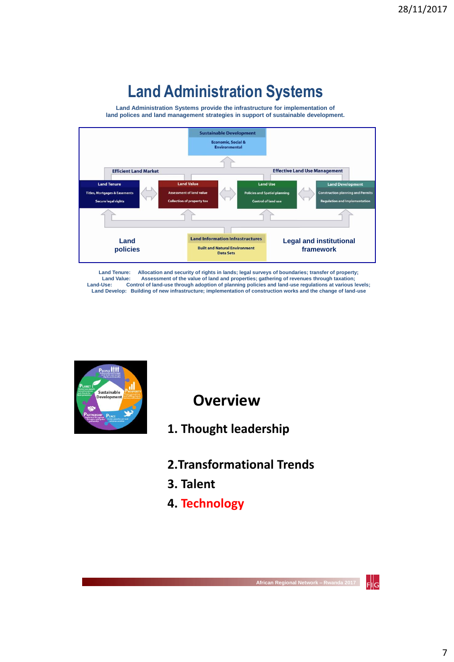# **Land Administration Systems**

**Land Administration Systems provide the infrastructure for implementation of land polices and land management strategies in support of sustainable development.**



**Land Tenure: Allocation and security of rights in lands; legal surveys of boundaries; transfer of property;**  Land Value: Assessment of the value of land and properties; gathering of revenues through taxation;<br>Land-Use: Control of land-use through adoption of planning policies and land-use regulations at various levels; **Land Develop: Building of new infrastructure; implementation of construction works and the change of land-use** 



**Overview**

- **1. Thought leadership**
- **2.Transformational Trends**
- **3. Talent**
- **4. Technology**

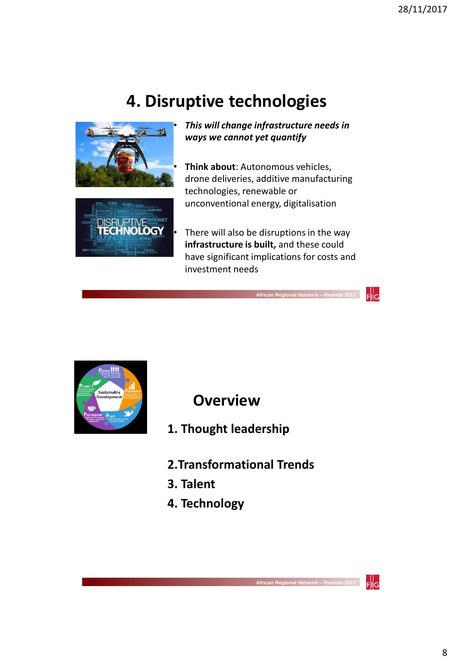# **4. Disruptive technologies**





• *This will change infrastructure needs in ways we cannot yet quantify*

• **Think about**: Autonomous vehicles, drone deliveries, additive manufacturing technologies, renewable or unconventional energy, digitalisation

There will also be disruptions in the way **infrastructure is built,** and these could have significant implications for costs and investment needs

 **African Regional Network – Rwanda 2017** 



**Overview**

- **1. Thought leadership**
- **2.Transformational Trends**
- **3. Talent**
- **4. Technology**



 $F$ <sub>Isl</sub>